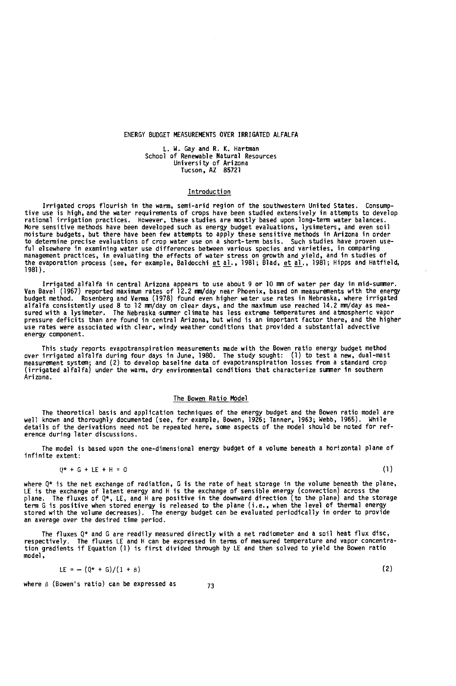# ENERGY BUDGET MEASUREMENTS OVER IRRIGATED ALFALFA

L. W. Gay and R. K. Hartman School of Renewable Natural Resources University of Arizona Tucson, AZ 85721

# Introduction

Irrigated crops flourish in the warm, semi-arid region of the southwestern United States. Consumptive use is high, and the water requirements of crops have been studied extensively in attempts to develop rational irrigation practices. However, these studies are mostly based upon long-term water balances. More sensitive methods have been developed such as energy budget evaluations, lysimeters, and even soil moisture budgets, but there have been few attempts to apply these sensitive methods in Arizona in order to determine precise evaluations of crop water use on a short -term basis. Such studies have proven useful elsewhere in examining water use differences between various species and varieties, in comparing management practices, in evaluating the effects of water stress on growth and yield, and in studies of<br>the evaporation process (see, for example, Baldocchi <u>et al</u>., 1981; Blad, <u>et al</u>., 1981; Hipps and Hatfield, 1981).

Irrigated alfalfa in central Arizona appears to use about 9 or 10 mm of water per day in mid -summer. Van Bavel (1957) reported maximum rates of 12.2 mm/day near Phoenix, based on measurements with the energy<br>budget method. Rosenberg and Verma (1978) found even higher water use rates in Nebraska, where irrigated<br>alfalfa c sured with a lysimeter. Ine Nebraska summer climate has less extreme temperatures and atmospheric vapor<br>pressure deficits than are found in central Arizona, but wind is an important factor there, and the higher use rates were associated with clear, windy weather conditions that provided a substantial advective energy component.

This study reports evapotranspiration measurements made with the Bowen ratio energy budget method over irrigated alfalfa during four days in June, 1980. The study sought: (1) to test a new, duai-mast<br>measurement system; and (2) to develop baseline data of evapotranspiration losses from a standard crop<br>(irrigated alfalf Arizona.

#### The Bowen Ratio Model

The theoretical basis and application techniques of the energy budget and the Bowen ratio model are<br>well known and thoroughly documented (see, for example, Bowen, 1926; Tanner, 1963; Webb, 1965). While<br>details of the deriv erence during later discussions.

The model is based upon the one-dimensional energy budget of a volume beneath a horizontal plane of infinite extent:

$$
Q^* + G + LE + H = 0 \tag{1}
$$

where  $Q^*$  is the net exchange of radiation, G is the rate of heat storage in the volume beneath the plane, LE is the exchange of latent energy and H is the exchange of sensible energy (convection) across the<br>plane. The fluxes of Q\*, LE, and H are positive in the downward direction (to the plane) and the storage term G is positive when stored energy is released to the plane (i.e., when the level of thermal energy stored with the volume decreases). The energy budget can be evaluated periodically in order to provide an average over the desired time period.

The fluxes Q\* and G are readily measured directly with a net radiometer and a soil heat flux disc,<br>respectively. The fluxes LE and H can be expressed in terms of measured temperature and vapor concentra-<br>tion gradients if model,

$$
LE = -\left(\frac{1}{2} + G\right) \left(1 + g\right) \tag{2}
$$

where  $\beta$  (Bowen's ratio) can be expressed as  $\frac{73}{2}$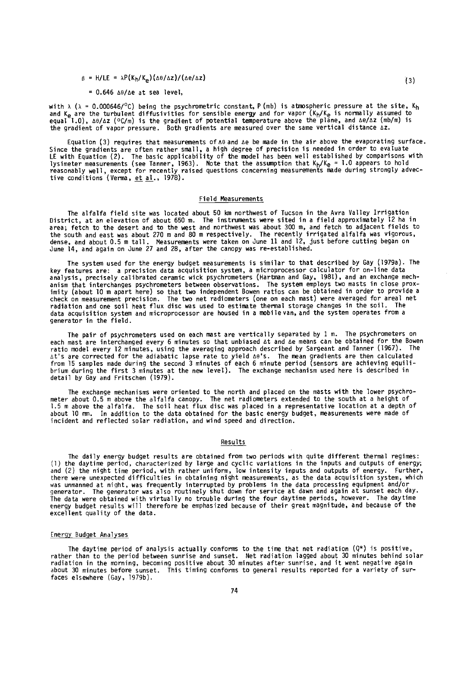$\beta$  = H/LE =  $\lambda P(K_h/K_a)(\Delta\theta/\Delta z)/(\Delta e/\Delta z)$ 

#### $= 0.646$   $\triangle \theta / \triangle e$  at sea level,

with  $\lambda$  ( $\lambda$  = 0.000646/°C) being the psychrometric constant,  $P$  (mb) is atmospheric pressure at the site,  $K_h$ <br>and  $K_e$  are the turbulent diffusivities for sensible energy and for vapor ( $K_h/K_e$  is normally assumed t

Equation (3) requires that measurements of  $\Delta\theta$  and  $\Delta\mathbf{e}$  be made in the air above the evaporating surface.<br>Since the gradients are often rather small, a high degree of precision is needed in order to evaluate Since the gradients are often rather small, a high degree of precision is needed in order to evaluate<br>LE with Equation (2). The basic applicability of the model has been well established by comparisons with<br>lysimeter meas

# Field Measurements

The alfalfa field site was located about 50 km northwest of Tucson in the Avra Valley Irrigation District, at an elevation of about 650 m. The instruments were sited in a field approximately 12 ha in area; fetch to the desert and to the west and northwest was about 300 m, and fetch to adjacent fields to the south and east was about 270 m and 80 m respectively. Ihe recently irrigated alfalfa was vigorous,<br>dense, and about 0.5 m tall. Measurements were taken on June 11 and 12, just before cutting began on<br>June 14, and aga

The system used for the energy budget measurements is similar to that described by Gay (1979a). The key features are: a precision data acquisition system, a microprocessor calculator for on -line data analysis, precisely calibrated ceramic wick psychrometers (Hartman and Gay, 1981), and an exchange mechanism that interchanges psychrometers between observations. The system employs two masts in close prox-imity (about 10 m apart here) so that two independent Bowen ratios can be obtained in order to provide a check on measurement precision. The two net radiometers (one on each mast) were averaged for areal net radiation and one soil heat flux disc was used to estimate thermal storage changes in the soil. The data acquisition system and microprocessor are housed in a mobile van,and the system operates from a generator in the field.

The pair of psychrometers used on each mast are vertically separated by 1 m. The psychrometers on each mast are interchanged every 6 minutes so that unbiased At and Ae means can be obtained for the Bowen ratio model every 12 minutes, using the averaging approach described by Sargeant and Tanner (1967). The ∆t's are corrected for the adiabatic lapse rate to yield ∆0's. The mean gradients are then calculated<br>from 15 samples made during the second 3 minutes of each 6 minute period (sensors are achieving equili-<br>brium during t detail by Gay and Fritschen (1979).

The exchange mechanisms were oriented to the north and placed on the masts with the lower psychro-<br>meter about 0.5 m above the alfalfa canopy. The net radiometers extended to the south at a height of<br>1.5 m above the alfalf about 10 mm. In addition to the data obtained for the basic energy budget, measurements were made of incident and reflected solar radiation, and wind speed and direction.

# Results

The daily energy budget results are obtained from two periods with quite different thermal regimes:<br>(1) the daytime period, characterized by large and cyclic variations in the inputs and outputs of energy,<br>and (2) the nigh generator. The generator was also routinely shut down for service at dawn and again at sunset each day. The data were obtained with virtually no trouble during the four daytime periods, however. The daytime energy budget results will therefore be emphasized because of their great magnitude, and because of the excellent quality of the data.

### Energy Budget Analyses

The daytime period of analysis actually conforms to the time that net radiation  $(Q^*)$  is positive, rather than to the period between sunrise and sunset. Net radiation lagged about 30 minutes behind solar radiation in the morning, becoming positive about 30 minutes after sunrise, and it went negative again about 30 minutes before sunset. This timing conforms to general results reported for a variety of surfaces elsewhere (Gay, 1979b).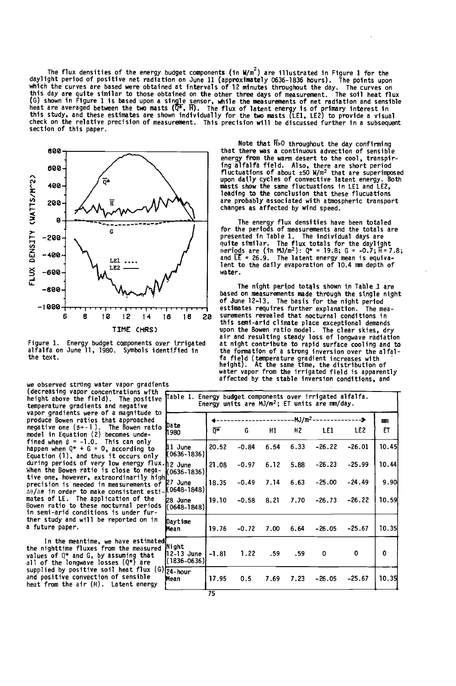The flux densities of the energy budget components (in W/m<sup>2</sup>) are illustrated in Figure 1 for the dayingnic period of positive net radiation on June 11 (approximately 0636-1836 hours). The points upon<br>which the curves are based were obtained at intervals of 12 minutes throughout the day. The curves on<br>this day are quit (b) shown in rigure 1 is based upon a single sensor, while the measurements of net radiation and sensible<br>heat are averaged between the two masts (Q\*, H). The flux of latent energy is of primary interest in<br>this study, and section of this paper.



Figure 1. Energy budget components over irrigated alfalfa on June 11, 1980. Symbols identified in the text.

Note that H>O throughout the day confirming that there was a continuous advection of sensible energy from the warm desert to the cool, transpiring alfalfa field. Also, there are short period fluctuations of about ±50 W /m2 that are superimposed upon daily cycles of convective latent energy. Both masts show the same fluctuations in LE1 and LE2, leading to the conclusion that these flucuations are probably associated with atmospheric transport changes as affected by wind speed.

The energy flux densities have been totaled for the periods of measurements and the totals are presented in lable 1. The individual days are<br>operiods are (in MJ/m<sup>2</sup>): Q\* = 19.8; G = -0.7; H= 7.8;<br>and LE = 26.9. The latent energy mean is equiva-<br>lent to the daily evaporation of 10.4 mm depth of water.

16 18 20 surements revealed that nocturnal conditions in The night period totals shown in Table 1 are based on measurements made through the single night of June 12-13. The basis for the night period<br>estimates requires further explanation. The meaestimates requires further explanation. this semi -arid climate place exceptional demands upon the Bowen ratio model. The clear skies, dry air and resulting steady loss of longwave radiation at night contribute to rapid surface cooling and to<br>the formation of a strong inversion over the alfal-<br>fa field (temperature gradient increases with<br>height). At the same time, the distribution<br>water vapor from the irrigat affected by the stable inversion conditions, and

| (decreasing vapor concentrations with<br>height above the field). The positive<br>temperature gradients and negative                                                   | Table 1. Energy bu              | Energy ur |
|------------------------------------------------------------------------------------------------------------------------------------------------------------------------|---------------------------------|-----------|
| vapor gradients were of a magnitude to<br>produce Bowen ratios that approached<br>negative one $(\beta + -1)$ . The Bowen ratio<br>model in Equation (2) becomes unde- | Da te<br>h 980                  | Ω.⊭       |
| fined when $\beta = -1.0$ . This can only<br>happen when Q* + G = O, according to<br>Equation (1), and thus it occurs only                                             | <b>l</b> ll June<br>(0636-1836) | 20.52     |
| during periods of very low energy flux.hဥ June<br>When the Bowen ratio is close to nega-<br>tive one, however, extraordinarily high                                    | K0636-1836)                     | 21.08     |
| precision is needed in measurements of<br>ΔΘ/Δe in order to make consistent esti-(0648-1848)                                                                           | 27 June                         | 18.35     |
| mates of LE. The application of the<br>Bowen ratio to these nocturnal periods<br>in semi-arid conditions is under fur-                                                 | <b>28 June</b><br>l(0648–1848)  | 19.10     |
| ther study and will be reported on in<br>a future paper.                                                                                                               | Daytime<br>Mean                 | 19.76     |
| To dha manaddoa  hawa neddontad                                                                                                                                        |                                 |           |

In the meantime, we have estimated the nighttime fluxes from the measured values of Q\* and G, by assuming that IIC-13<br>all of the longwave losses (Q\*) are I supplied by positive soil heat flux (G) and positive convection of sensible heat from the air (H). Latent energy

|                                    | -MJ/m <sup>2.</sup> |         |      |      |          |          | am    |
|------------------------------------|---------------------|---------|------|------|----------|----------|-------|
| Da te<br>1980                      | Ō*                  | G       | Н1   | н2   | LE1      | LE2      | EТ    |
| <b>11 June</b><br>(0636-1836)      | 20.52               | $-0.84$ | 6.54 | 6.33 | $-26.22$ | $-26.01$ | 10.45 |
| l2 June<br>(0636–1836)             | 21.08               | $-0.97$ | 6.12 | 5.88 | $-26.23$ | $-25.99$ | 10.44 |
| 27 June<br>(0648–1848)             | 18.35               | $-0.49$ | 7.14 | 6.63 | $-25.00$ | $-24.49$ | 9.90  |
| 28 June<br>(0648-1848)             | 19.10               | $-0.58$ | 8.21 | 7.70 | $-26.73$ | $-26.22$ | 10.59 |
| Daytime<br>Mean                    | 19.76               | $-0.72$ | 7.00 | 6.64 | $-26.05$ | $-25.67$ | 10.35 |
| Night<br>12-13 June<br>(1836-0636) | $-1.81$             | 1.22    | .59  | .59  | 0        | 0        | 0     |
| 24-hour<br>Mean                    | 17.95               | 0.5     | 7.69 | 7.23 | $-26.05$ | $-25.67$ | 10.35 |
|                                    | 75                  |         |      |      |          |          |       |

we observed strong water vapor gradients<br>(decreasing vapor concentrations with  $\epsilon$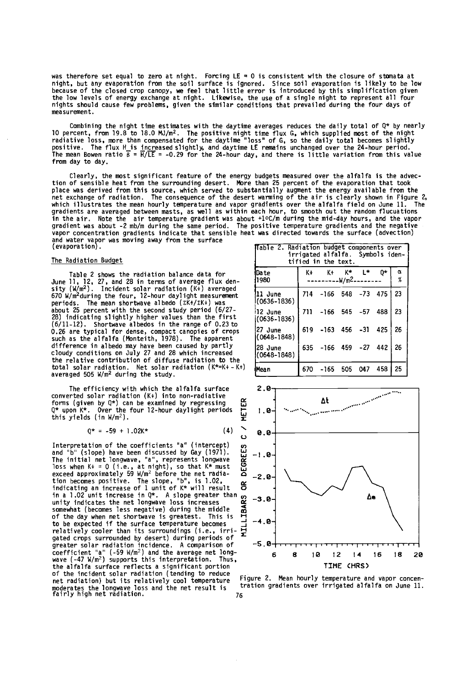was therefore set equal to zero at night. Forcing Lt = 0 is consistent with the closure or stomata at<br>night, but any evaporation from the soil surface is ignored. Since soil evaporation is likely to be low<br>because of the the low levels of energy exchange at night. Likewise, the use of a single night to represent all four nights should cause few problems, given the similar conditions that prevailed during the four days of measurement.

Compining the night time estimates with the daytime averages reduces the daily total or  $Q^*$  by nearly<br>10 percent, from 19.8 to 18.0 MJ/m<sup>2</sup>. The positive night time flux G, which supplied most of the night<br>radiative los from day to day.

Clearly, the most significant feature of the energy budgets measured over the alfalfa is the advec-<br>tion of sensible heat from the surrounding desert. More than 25 percent of the evaporation that took tion of sensible heat from the surrounding desert. More than 25 percent of the evaporation that took<br>place was derived from this source, which served to substantially augment the energy available from the<br>net exchange of r vapor concentration gradients indicate that sensible heat was directed towards the surface (advection) and water vapor was moving away from the surface (evaporation).

#### The Radiation Budget

Table 2 shows the radiation balance data for June 11, 12, 27, and 28 in terms of average flux density  $(W/m^2)$ . Incident solar radiation  $(K+)$  averaged b/0 W/m<sup>2</sup>during the four, 12-hour daylight measurement to the lit<br>periods. The mean shortwave albedo (EK+/EK+) was \_\_\_\_\_\_\_(06 about 25 percent with the second study period (6/27- 28) indicating slightly higher values than the first  $(063, 063)$ 0.26 are typical for dense, compact canopies of crops such as the alfalfa (Monteith, 1978). The apparent difference in albedo may have been caused by partly cloudy conditions on July 27 and 28 which increased the relative contribution of diffuse radiation to the total solar radiation. Net solar radiation (K\*=K+ - K+)  $Mear$ 

The efficiency with which the alfalfa surface converted solar radiation (K+) into non-radiative<br>forms (given by Q\*) can be examined by regressing  $\begin{bmatrix} 0^* & \text{up} & \text{up} \\ 0^* & \text{up} & \text{up} & \text{up} \\ 0^* & \text{up} & \text{up} & \text{up} \end{bmatrix}$ <br>this yields (in W/m<sup>2</sup>). forms (given by Q\*) can be examined by regressing <br>Q\* upon K\*. Over the four 12-hour daylight periods this yields (in  $W/m^2$ ).

 $Q^* = -59 + 1.02K^*$  (4) U

Interpretation of the coefficients "a" (intercept) and "b" (slope) have been discussed by Gay (1971).  $\Box$ <br>The initial net longwave, "a", represents longwave  $\Box$ <br>loss when K+ = 0 (i.e., at night), so that K\* must<br>exceed and "b" (slope) have been discussed by Gay (1971). w -1.0 The initial net longwave, "a ", represents longwave loss when K+ = 0 (i.e., at night), so that K\* must<br>exceed approximately 59 W/m<sup>2</sup> before the net radia-  $\overline{O}$  -2.0<br>tion becomes positive. The slope, "b", is 1.02,<br>indicating an increase of 1 unit of K\* will result  $\overline$ in a 1.02 unit increase in Q\*. A slope greater than  $\alpha_2$   $-3.0$   $$ somewhat (becomes less negative) during the middle of the day when net shortwave is greatest. This is  $\overrightarrow{H}$  -4.0 to be expected if the surface temperature becomes  $\frac{1}{2}$   $\frac{-4.0}{4}$ <br>relatively cooler than its surroundings (i.e., irri-  $\frac{1}{4}$ gated crops surrounded by desert) during periods of  $\overline{ }$ <br>greater solar radiation incidence. A comparison of  $\overline{ }$  -5.0  $\overline{ }$ <br>coefficient "a" (-59 W/m<sup>2</sup>) and the average net long-<br>wave (-47 W/m<sup>2</sup>) supports this int of the incident solar radiation (tending to reduce moderates the longwave loss and the net result is tration gradients over irrigated alfalfa on June 11. fairly high net radiation. <sup>76</sup>

| Table 2. Radiation budget components over<br>irrigated alfalfa. Symbols iden-<br>tified in the text. |     |                                 |     |       |           |        |  |  |
|------------------------------------------------------------------------------------------------------|-----|---------------------------------|-----|-------|-----------|--------|--|--|
| Date<br>1980                                                                                         | K+  | K+<br>-------W/m <sup>2</sup> - | K*  | ı*    | 0*        | α<br>% |  |  |
| 11 June<br>$(0636 - 1836)$                                                                           | 714 | $-166$ 548                      |     | $-73$ | 475       | 23     |  |  |
| 12 June<br>(0636-1836)                                                                               | 711 | -166 545                        |     | $-57$ | 488       | 23     |  |  |
| 27 June<br>$(0648 - 1848)$                                                                           | 619 | $-163$ 456                      |     | $-31$ | 425       | 26     |  |  |
| 28 June<br>$(0648 - 1848)$                                                                           |     | 635 -166 459                    |     |       | $-27$ 442 | 26     |  |  |
| Mean                                                                                                 | 670 | -165                            | 505 | 047   | 458       | 25     |  |  |



Figure 2. Mean hourly temperature and vapor concen-<br>tration gradients over irrigated alfalfa on June 11.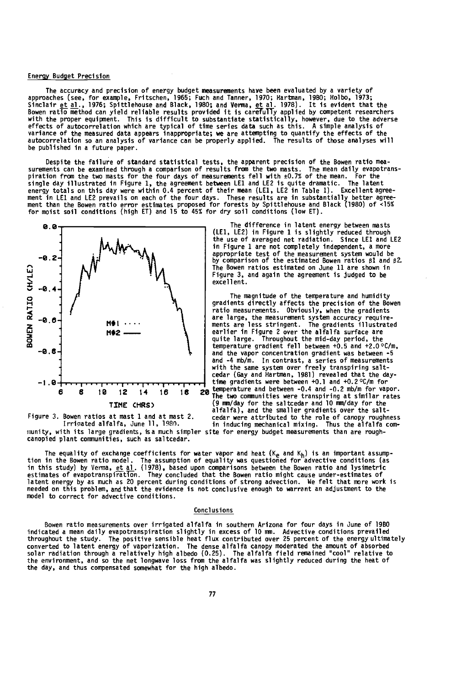#### Energy Budget Precision

The accuracy and precision of energy budget measurements have been evaluated by a variety of<br>approaches (see, for example, Fritschen, 1965; Fuch and Tanner, 1970; Hartman, 1986; Holbo, 1973;<br>Sinclair et al., 1976; Spittleh be published in a future paper.

Despite the tailure of standard statistical tests, the apparent precision of the Bowen ratio mea-<br>surements can be examined through a comparison of results from the two masts. The mean daily evapotrans-<br>piration from the



munity, with its large gradients, isa much simpler site for energy budget measurements than are roughcanopied plant communities, such as saltcedar.

The difference in latent energy between masts (LEI, LE2) in Figure 1 is slightly reduced through the use of averaged net radiation. Since LE1 and LE2 in Figure 1 are not completely independent, a more appropriate test of the measurement system would be by comparison of the estimated Bowen ratios 01 and 92. The Bowen ratios estimated on June 11 are shown in Figure 3, and again the agreement is judged to be excellent.

The magnitude of the temperature and humidity gradients directly affects the precision of the Bowen ratio measurements. Obviously, when the gradients -0.6- **1.8- are large, the measurement system accuracy require-**  $\overline{10}$ <br> **Motel ments are less stringent.** The gradients illustrated<br>
earlier in Figure 2 over the alfalfa surface are earlier in Figure 2 over the alfalfa surface are quite large. Throughout the mid-day period, the<br>temperature gradient fell between  $+0.5$  and  $+2.0$  °C/m. temperature gradient fell between +0.5 and +2.0 °C /m, -0.8- and the vapor concentration gradient was between -5 and -4 mb /m. In contrast, a series of measurements with the same system over freely transpiring salt - cedar (Gay and Hartman, 1981) revealed that the day -  $-1.8 + \cdots$ 8 10 12 14 16 18 20 temperature and between -0.4 and -0.2 mb/m for vapor.<br>The two communities were transpiring at similar rates  $(9 \text{ mm/day}$  for the saltcedar and  $10 \text{ mm/day}$  for the alfalfa), and the smaller gradients over the salt-Figure 3. Bowen ratios at mast 1 and at mast 2. cedar were attributed to the role of canopy roughness Irrigated alfalfa, June 11, 198n. in inducing mechanical mixing. Thus the alfalfa com-

The equality of exchange coefficients for water vapor and heat (K<sub>e</sub> and K<sub>h</sub>) is an important assump-<br>in this study) by Verma, et al. (1978), based upon comparisons between the Bowen ratio and lysimetric<br>in this study) by model to correct for advective conditions.

#### Conclusions

Bowen ratio measurements over irrigated alfalfa in southern Arizona for four days in June of 1980 indicated a mean daily evapotranspiration slightly in excess of 10 mm. Advective conditions prevailed<br>throughout the study. The positive sensible heat flux contributed over 25 percent of the energy ultimately<br>converted to the day, and thus compensated somewhat for the high aTbedo.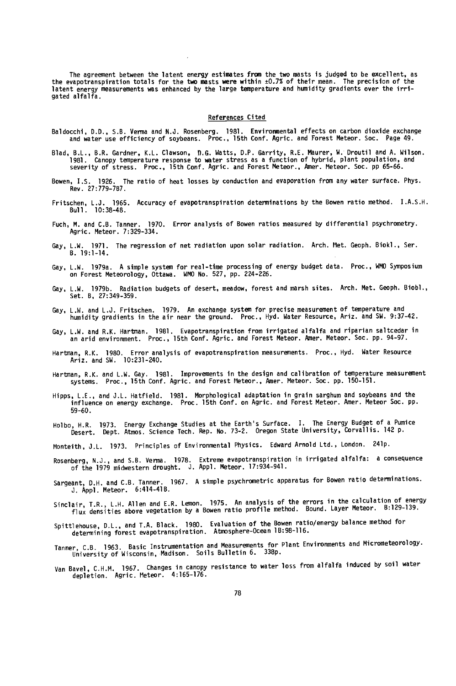lhe agreement between the latent energy estimates from the two masts is judged to be excellent, as<br>the evapotranspiration totals for the two masts were within ±0.7% of their mean. The precision of the latent energy measurements was enhanced by the large temperature and humidity gradients over the irrigated alfalfa.

### References Cited

- Baldocchi, D.D., S.B. Verna and N.J. Rosenberg. 1981. Environmental effects on carbon dioxide exchange and water use efficiency of soybeans. Proc., 15th Conf. Agric. and Forest Meteor. Soc. Page 49.
- Blad, B.L., B.R. Gardner, K.L. Clawson, D.G. Watts, D.P. Garrity, R.E. Maurer, w. Droutil and A. Wilson.<br>1981. Canopy temperature response to water stress as a function of hybrid, plant population, and<br>1965-66.
- Bowen, I.S. 1926. The ratio of heat losses by conduction and evaporation from any water surface. Phys. Rev. 27:779 -787.
- Fritschen, L.J. 1965. Accuracy of evapotranspiration determinations by the Bowen ratio method. I.A.S.H. Bull. 10:38 -48.
- Fuch, M. and C.B. Tanner. 1970. Error analysis of Bowen ratios measured by differential psychrometry. Agric. Meteor. 7:329-334.
- Gay, L.W. 1971. The regression of net radiation upon solar radiation. Arch. Met. Geoph. Biokl., Ser.  $B. 19:1-14.$
- Gay, L.W. 1979a. A simple system for real -time processing of energy budget data. Proc., WMO Symposium on Forest Meteorology, Ottawa. WMO No. 527, pp. 224 -226.
- Gay, L.W. 1979b. Radiation budgets of desert, meadow, forest and marsh sites. Arch. Met. Geoph. Biobl., Set. B, 27:349 -359.
- Gay, L.W. and L.J. Fritschen. 1979. An exchange system for precise measurement of temperature and humidity gradients in the air near the ground. Proc., Hyd. Water Resource, Ariz. and SW. 9:37 -42.
- Gay, L.W. and R.K. Hartman. 1981. Evapotranspiration from irrigated alfalfa and riparian saltcedar in an arid environment. Proc., 15th Conf. Agric. and Forest Meteor. Amer. Meteor. Soc. pp. 94 -97.
- Hartman, R.K. 1980. Error analysis of evapotranspiration measurements. Proc., Hyd. Water Resource Ariz. and SW. 10:231 -240.
- Hartman, R.K. and L.W. Gay. 1981. Improvements in the design and calibration of temperature measurement systems. Proc., 15th Conf. Agric. and Forest Meteor., Amer. Meteor. Soc. pp. 150 -151.
- Hipps, L.E., and J.L. Hatfield. 1981. Morphological adaptation in grain sarghum and soybeans and the influence on energy exchange. Proc. 15th Conf. on Agric. and Forest Meteor. Amer. Meteor Soc. pp. 59 -60.
- Holbo, H.R. 1973. Energy Exchange Studies at the Earth's Surface. I. The Energy Budget of a Pumice Desert. Dept. Atmos. Science Tech. Rep. No. 73 -2. Oregon State University, Corvallis. 142 p.
- Monteith, J.L. 1973. Principles of Environmental Physics. Edward Arnold Ltd., London. 241p.
- Rosenberg, N.J., and S.B. Verma. 1978. Extreme evapotranspiration in irrigated alfalfa: a consequence<br>of the 1979 midwestern drought. J. Appl. Meteor. 17:934-941.
- Sargeant, D.H. and C.B. Tanner. 1967. A simple psychrometric apparatus for Bowen ratio determinations. J. Appl. Meteor. 6:414 -418.
- Sinclair, T.R., L.H. Allen and E.R. Lemon. 1975. An analysis of the errors in the calculation of energy flux densities above vegetation by a Bowen ratio profile method. Bound. Layer Meteor. 8:129 -139.
- Spittlehouse, D.L., and T.A. Black. 1980. Evaluation of the Bowen ratio/energy balance method for<br>determining forest evapotranspiration. Atmosphere-Ocean 1B:98-116.
- Tanner, C.B. 1963. Basic Instrumentation and Measurements for Plant Environments and Micrometeorology. University of Wisconsin, Madison. Soils Bulletin 6. 338p.
- Van Bavel, C.H.M. 1967. Changes in canopy resistance to water loss from alfalfa induced by soil water depletion. Agric. Meteor. 4:165 -176.